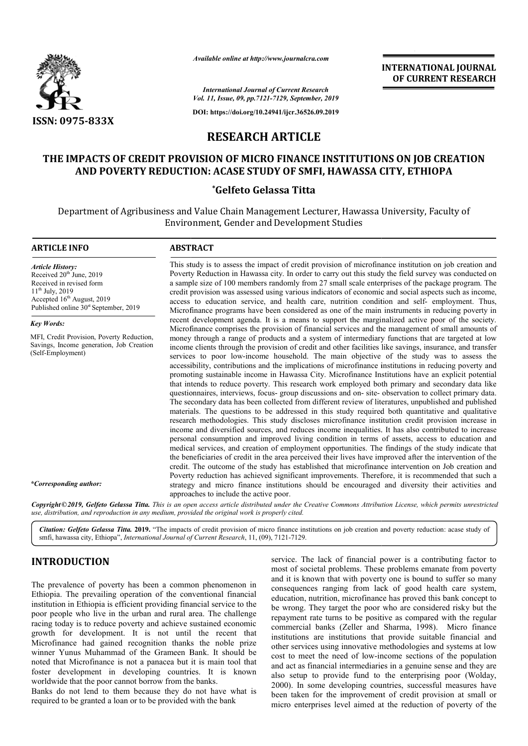

*Available online at http://www.journalcra.com*

**INTERNATIONAL JOURNAL OF CURRENT RESEARCH**

*International Journal of Current Research Vol. 11, Issue, 09, pp.7121-7129, September, 2019*

**DOI: https://doi.org/10.24941/ijcr.36526.09.2019**

# **RESEARCH ARTICLE**

# **THE IMPACTS OF CREDIT PROVISION OF MICRO FINANCE INSTITUTIONS INSTITUTIONS ON JOB CREATION AND POVERTY REDUCTION: ACASE STUDY OF SMFI, HAWASSA CITY, ETHIOPA**

# **\*Gelfeto Gelassa Titta**

Department of Agribusiness and Value Chain Management Lecturer, Hawassa University, Faculty of Environment, Gender and Development Studies

# **ARTICLE INFO ABSTRACT**

*Article History:* Received  $20<sup>th</sup>$  June, 2019 Received in revised form 11th July, 2019 Accepted  $16<sup>th</sup>$  August, 2019 Published online  $30<sup>st</sup>$  September, 2019

*Key Words:*

MFI, Credit Provision, Poverty Reduction, Savings, Income generation, Job Creation (Self-Employment)

*\*Corresponding author:* 

Poverty Reduction in Hawassa city. In order to carry out this study the field survey was conducted on a sample size of 100 members randomly from 27 small scale enterprises of the package program. The credit provision was assessed using various indicators of economic and social aspects such as income, access to education service, and health care, nutrition condition and self Microfinance programs have been considered as one of the main instruments in reducing poverty in recent development agenda. It is a means to support the marginalized active poor of the society. Microfinance comprises the provision of financial services and the management of small amounts of money through a range of products and a system of intermediary functions that are targeted at low income clients through the provision of credit and other facilities like savings, insurance, and transfer services to poor low-income household. The main objective of the study was to assess the accessibility, contributions and the implications of microfinance institutions in reducing poverty and promoting sustainable income in Hawassa City. Microfinance Institutions have an explicit potential that intends to reduce poverty. This research work employed both primary and secondary data like that intends to reduce poverty. This research work employed both primary and secondary data like questionnaires, interviews, focus- group discussions and on- site- observation to collect primary data. The secondary data has been collected from different review of literatures, unpublished and published materials. The questions to be addressed in this study required both quantitative and qualitative research methodologies. This study discloses microfinance institution credit provision increase in income and diversified sources, and reduces income inequalities. It has also contributed to increase personal consumption and improved living condition in terms of assets, access to education and medical services, and creation of employment opportunities. The findings of the study indicate that the beneficiaries of credit in the area perceived their lives have improved after the intervention of the credit. The outcome of the study has established that microfinance intervention on Job creati Poverty reduction has achieved significant improvements. Therefore, it is recommended that such a Poverty reduction has achieved significant improvements. Therefore, it is recommended that such a strategy and micro finance institutions should be encouraged and diversity their activities and approaches to include the active poor. This study is to assess the impact of credit provision of microfinance institution on job creation and Poverty Reduction in Hawassa city. In order to carry out this study the field survey was conducted on a sample size of Microfinance programs have been considered as one of the main instruments in reducing poverty in recent development agenda. It is a means to support the marginalized active poor of the society. Microfinance comprises the p The secondary data has been collected from different review of literatures, unpublished and published materials. The questions to be addressed in this study required both quantitative and qualitative research methodologies income and diversified sources, and reduces income inequalities. It has also contributed to increase<br>personal consumption and improved living condition in terms of assets, access to education and<br>medical services, and crea

This study is to assess the impact of credit provision of microfinance institution on job creation and

Copyright©2019, Gelfeto Gelassa Titta. This is an open access article distributed under the Creative Commons Attribution License, which permits unrestrictea *use, distribution, and reproduction in any medium, provided the original work is properly cited.*

Citation: Gelfeto Gelassa Titta. 2019. "The impacts of credit provision of micro finance institutions on job creation and poverty reduction: acase study of **Citation: Gelfeto Gelassa Titta. 2019.** "The impacts of credit provision of micro finance in:<br>smfi, hawassa city, Ethiopa", *International Journal of Current Research*, 11, (09), 7121-7129.

# **INTRODUCTION**

The prevalence of poverty has been a common phenomenon in Ethiopia. The prevailing operation of the conventional financial institution in Ethiopia is efficient providing financial service to the poor people who live in the urban and rural area. The challenge racing today is to reduce poverty and achieve sustained economic growth for development. It is not until the recent that Microfinance had gained recognition thanks the noble prize winner Yunus Muhammad of the Grameen Bank. It should be noted that Microfinance is not a panacea but it is main tool that foster development in developing countries. It is known worldwide that the poor cannot borrow from the banks.

Banks do not lend to them because they do not have what is required to be granted a loan or to be provided with the bank

**ION**<br> **EXECUTE AND**<br> **EXECT AND AND THE SET AND THE SET AND THE SET AND THE SET AND THE SET AND THE SET AND THE SET AND THE SET AND THE SET AND THE SET AND THE SET AND THE SET AND THE SET AND THE SET AND THE SET AND THE S** most of societal problems. These problems emanate from poverty and it is known that with poverty one is bound to suffer so many consequences ranging from lack of good health care system, education, nutrition, microfinance has proved this bank concept to be wrong. They target the poor who are considered risky but the repayment rate turns to be positive as compared with the regular commercial banks (Zeller and Sharma, 1998). Micro finance institutions are institutions that provide suitable financial and other services using innovative methodologies and systems at low cost to meet the need of low-income sections of the population institutions are institutions that provide suitable financial and other services using innovative methodologies and systems at low cost to meet the need of low-income sections of the population and act as financial interme also setup to provide fund to the enterprising poor (Wolday, 2000). In some developing countries, successful measures have been taken for the improvement of credit provision at small or micro enterprises level aimed at the reduction of poverty of the ice. The lack of financial power is a contributing factor to tof societal problems. These problems emanate from poverty it is known that with poverty one is bound to suffer so many equences ranging from lack of good health education, nutrition, microfinance has proved this bank concept to be wrong. They target the poor who are considered risky but the repayment rate turns to be positive as compared with the regular also setup to provide fund to the enterprising poor (Wolday, 2000). In some developing countries, successful measures have been taken for the improvement of credit provision at small or micro enterprises level aimed at the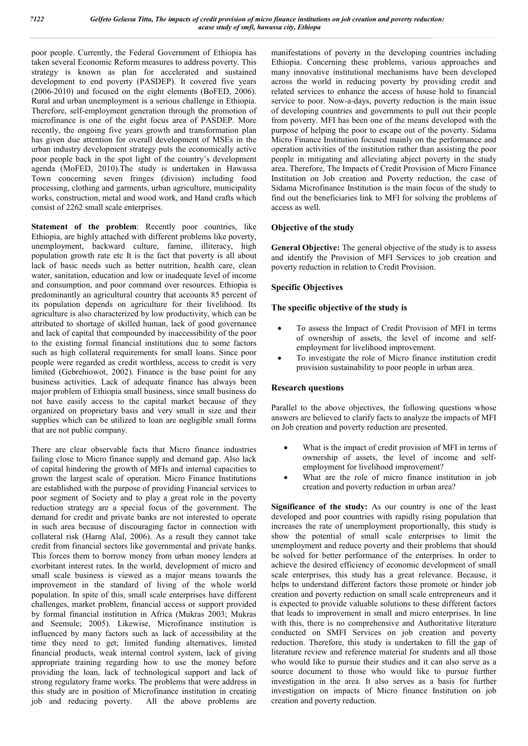poor people. Currently, the Federal Government of Ethiopia has taken several Economic Reform measures to address poverty. This strategy is known as plan for accelerated and sustained development to end poverty (PASDEP). It covered five years (2006-2010) and focused on the eight elements (BoFED, 2006). Rural and urban unemployment is a serious challenge in Ethiopia. Therefore, self-employment generation through the promotion of microfinance is one of the eight focus area of PASDEP. More recently, the ongoing five years growth and transformation plan has given due attention for overall development of MSEs in the urban industry development strategy puts the economically active poor people back in the spot light of the country's development agenda (MoFED, 2010).The study is undertaken in Hawassa Town concerning seven fringes (division) including food processing, clothing and garments, urban agriculture, municipality works, construction, metal and wood work, and Hand crafts which consist of 2262 small scale enterprises.

**Statement of the problem**: Recently poor countries, like Ethiopia, are highly attached with different problems like poverty, unemployment, backward culture, famine, illiteracy, high population growth rate etc It is the fact that poverty is all about lack of basic needs such as better nutrition, health care, clean water, sanitation, education and low or inadequate level of income and consumption, and poor command over resources. Ethiopia is predominantly an agricultural country that accounts 85 percent of its population depends on agriculture for their livelihood. Its agriculture is also characterized by low productivity, which can be attributed to shortage of skilled human, lack of good governance and lack of capital that compounded by inaccessibility of the poor to the existing formal financial institutions due to some factors such as high collateral requirements for small loans. Since poor people were regarded as credit worthless, access to credit is very limited (Gebrehiowot, 2002). Finance is the base point for any business activities. Lack of adequate finance has always been major problem of Ethiopia small business, since small business do not have easily access to the capital market because of they organized on proprietary basis and very small in size and their supplies which can be utilized to loan are negligible small forms that are not public company.

There are clear observable facts that Micro finance industries failing close to Micro finance supply and demand gap. Also lack of capital hindering the growth of MFIs and internal capacities to grown the largest scale of operation. Micro Finance Institutions are established with the purpose of providing Financial services to poor segment of Society and to play a great role in the poverty reduction strategy are a special focus of the government. The demand for credit and private banks are not interested to operate in such area because of discouraging factor in connection with collateral risk (Harng Alal, 2006). As a result they cannot take credit from financial sectors like governmental and private banks. This forces them to borrow money from urban money lenders at exorbitant interest rates. In the world, development of micro and small scale business is viewed as a major means towards the improvement in the standard of living of the whole world population. In spite of this, small scale enterprises have different challenges, market problem, financial access or support provided by formal financial institution in Africa (Mukras 2003; Mukras and Seemule; 2005). Likewise, Microfinance institution is influenced by many factors such as lack of accessibility at the time they need to get; limited funding alternatives, limited financial products, weak internal control system, lack of giving appropriate training regarding how to use the money before providing the loan, lack of technological support and lack of strong regulatory frame works. The problems that were address in this study are in position of Microfinance institution in creating job and reducing poverty. All the above problems are

manifestations of poverty in the developing countries including Ethiopia. Concerning these problems, various approaches and many innovative institutional mechanisms have been developed across the world in reducing poverty by providing credit and related services to enhance the access of house hold to financial service to poor. Now-a-days, poverty reduction is the main issue of developing countries and governments to pull out their people from poverty. MFI has been one of the means developed with the purpose of helping the poor to escape out of the poverty. Sidama Micro Finance Institution focused mainly on the performance and operation activities of the institution rather than assisting the poor people in mitigating and alleviating abject poverty in the study area. Therefore, The Impacts of Credit Provision of Micro Finance Institution on Job creation and Poverty reduction, the case of Sidama Microfinance Institution is the main focus of the study to find out the beneficiaries link to MFI for solving the problems of access as well.

# **Objective of the study**

General Objective: The general objective of the study is to assess and identify the Provision of MFI Services to job creation and poverty reduction in relation to Credit Provision.

# **Specific Objectives**

# **The specific objective of the study is**

- To assess the Impact of Credit Provision of MFI in terms of ownership of assets, the level of income and selfemployment for livelihood improvement.
- To investigate the role of Micro finance institution credit provision sustainability to poor people in urban area.

### **Research questions**

Parallel to the above objectives, the following questions whose answers are believed to clarify facts to analyze the impacts of MFI on Job creation and poverty reduction are presented.

- What is the impact of credit provision of MFI in terms of ownership of assets, the level of income and selfemployment for livelihood improvement?
- What are the role of micro finance institution in job creation and poverty reduction in urban area?

**Significance of the study:** As our country is one of the least developed and poor countries with rapidly rising population that increases the rate of unemployment proportionally, this study is show the potential of small scale enterprises to limit the unemployment and reduce poverty and their problems that should be solved for better performance of the enterprises. In order to achieve the desired efficiency of economic development of small scale enterprises, this study has a great relevance. Because, it helps to understand different factors those promote or hinder job creation and poverty reduction on small scale entrepreneurs and it is expected to provide valuable solutions to these different factors that leads to improvement in small and micro enterprises. In line with this, there is no comprehensive and Authoritative literature conducted on SMFI Services on job creation and poverty reduction. Therefore, this study is undertaken to fill the gap of literature review and reference material for students and all those who would like to pursue their studies and it can also serve as a source document to those who would like to pursue further investigation in the area. It also serves as a basis for further investigation on impacts of Micro finance Institution on job creation and poverty reduction.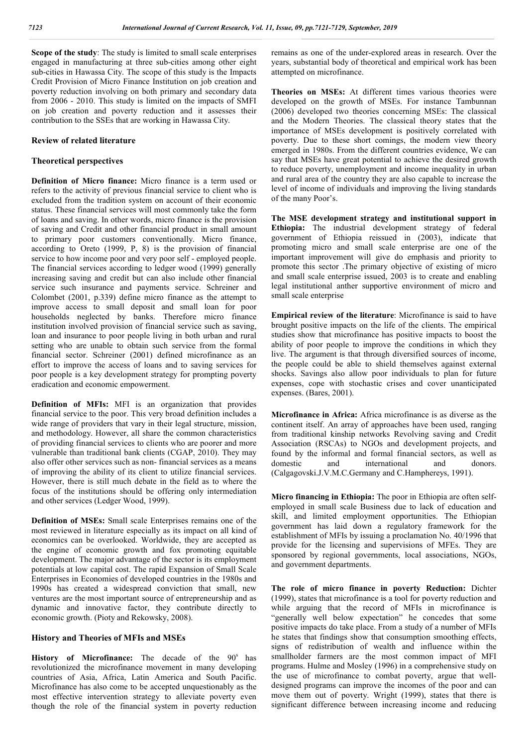**Scope of the study**: The study is limited to small scale enterprises engaged in manufacturing at three sub-cities among other eight sub-cities in Hawassa City. The scope of this study is the Impacts Credit Provision of Micro Finance Institution on job creation and poverty reduction involving on both primary and secondary data from 2006 - 2010. This study is limited on the impacts of SMFI on job creation and poverty reduction and it assesses their contribution to the SSEs that are working in Hawassa City.

#### **Review of related literature**

### **Theoretical perspectives**

**Definition of Micro finance:** Micro finance is a term used or refers to the activity of previous financial service to client who is excluded from the tradition system on account of their economic status. These financial services will most commonly take the form of loans and saving. In other words, micro finance is the provision of saving and Credit and other financial product in small amount to primary poor customers conventionally. Micro finance, according to Oreto (1999, P, 8) is the provision of financial service to how income poor and very poor self - employed people. The financial services according to ledger wood (1999) generally increasing saving and credit but can also include other financial service such insurance and payments service. Schreiner and Colombet (2001, p.339) define micro finance as the attempt to improve access to small deposit and small loan for poor households neglected by banks. Therefore micro finance institution involved provision of financial service such as saving, loan and insurance to poor people living in both urban and rural setting who are unable to obtain such service from the formal financial sector. Schreiner (2001) defined microfinance as an effort to improve the access of loans and to saving services for poor people is a key development strategy for prompting poverty eradication and economic empowerment.

**Definition of MFIs:** MFI is an organization that provides financial service to the poor. This very broad definition includes a wide range of providers that vary in their legal structure, mission, and methodology. However, all share the common characteristics of providing financial services to clients who are poorer and more vulnerable than traditional bank clients (CGAP, 2010). They may also offer other services such as non- financial services as a means of improving the ability of its client to utilize financial services. However, there is still much debate in the field as to where the focus of the institutions should be offering only intermediation and other services (Ledger Wood, 1999).

**Definition of MSEs:** Small scale Enterprises remains one of the most reviewed in literature especially as its impact on all kind of economics can be overlooked. Worldwide, they are accepted as the engine of economic growth and fox promoting equitable development. The major advantage of the sector is its employment potentials at low capital cost. The rapid Expansion of Small Scale Enterprises in Economies of developed countries in the 1980s and 1990s has created a widespread conviction that small, new ventures are the most important source of entrepreneurship and as dynamic and innovative factor, they contribute directly to economic growth. (Pioty and Rekowsky, 2008).

#### **History and Theories of MFIs and MSEs**

History of Microfinance: The decade of the 90<sup>s</sup> has revolutionized the microfinance movement in many developing countries of Asia, Africa, Latin America and South Pacific. Microfinance has also come to be accepted unquestionably as the most effective intervention strategy to alleviate poverty even though the role of the financial system in poverty reduction

remains as one of the under-explored areas in research. Over the years, substantial body of theoretical and empirical work has been attempted on microfinance.

**Theories on MSEs:** At different times various theories were developed on the growth of MSEs. For instance Tambunnan (2006) developed two theories concerning MSEs: The classical and the Modern Theories. The classical theory states that the importance of MSEs development is positively correlated with poverty. Due to these short comings, the modern view theory emerged in 1980s. From the different countries evidence, We can say that MSEs have great potential to achieve the desired growth to reduce poverty, unemployment and income inequality in urban and rural area of the country they are also capable to increase the level of income of individuals and improving the living standards of the many Poor's.

**The MSE development strategy and institutional support in Ethiopia:** The industrial development strategy of federal government of Ethiopia reissued in (2003), indicate that promoting micro and small scale enterprise are one of the important improvement will give do emphasis and priority to promote this sector .The primary objective of existing of micro and small scale enterprise issued, 2003 is to create and enabling legal institutional anther supportive environment of micro and small scale enterprise

**Empirical review of the literature**: Microfinance is said to have brought positive impacts on the life of the clients. The empirical studies show that microfinance has positive impacts to boost the ability of poor people to improve the conditions in which they live. The argument is that through diversified sources of income, the people could be able to shield themselves against external shocks. Savings also allow poor individuals to plan for future expenses, cope with stochastic crises and cover unanticipated expenses. (Bares, 2001).

**Microfinance in Africa:** Africa microfinance is as diverse as the continent itself. An array of approaches have been used, ranging from traditional kinship networks Revolving saving and Credit Association (RSCAs) to NGOs and development projects, and found by the informal and formal financial sectors, as well as domestic and international and donors. and international and donors. (Calgagovski.J.V.M.C.Germany and C.Hamphereys, 1991).

**Micro financing in Ethiopia:** The poor in Ethiopia are often selfemployed in small scale Business due to lack of education and skill, and limited employment opportunities. The Ethiopian government has laid down a regulatory framework for the establishment of MFIs by issuing a proclamation No. 40/1996 that provide for the licensing and supervisions of MFEs. They are sponsored by regional governments, local associations, NGOs, and government departments.

**The role of micro finance in poverty Reduction:** Dichter (1999), states that microfinance is a tool for poverty reduction and while arguing that the record of MFIs in microfinance is "generally well below expectation" he concedes that some positive impacts do take place. From a study of a number of MFIs he states that findings show that consumption smoothing effects, signs of redistribution of wealth and influence within the smallholder farmers are the most common impact of MFI programs. Hulme and Mosley (1996) in a comprehensive study on the use of microfinance to combat poverty, argue that welldesigned programs can improve the incomes of the poor and can move them out of poverty. Wright (1999), states that there is significant difference between increasing income and reducing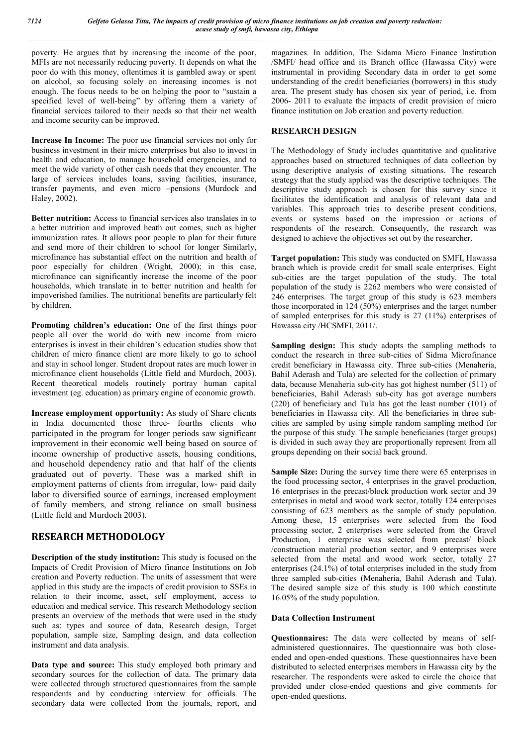poverty. He argues that by increasing the income of the poor, MFIs are not necessarily reducing poverty. It depends on what the poor do with this money, oftentimes it is gambled away or spent on alcohol, so focusing solely on increasing incomes is not enough. The focus needs to be on helping the poor to "sustain a specified level of well-being" by offering them a variety of financial services tailored to their needs so that their net wealth and income security can be improved.

**Increase In Income:** The poor use financial services not only for business investment in their micro enterprises but also to invest in health and education, to manage household emergencies, and to meet the wide variety of other cash needs that they encounter. The large of services includes loans, saving facilities, insurance, transfer payments, and even micro –pensions (Murdock and Haley, 2002).

**Better nutrition:** Access to financial services also translates in to a better nutrition and improved heath out comes, such as higher immunization rates. It allows poor people to plan for their future and send more of their children to school for longer Similarly, microfinance has substantial effect on the nutrition and health of poor especially for children (Wright, 2000); in this case, microfinance can significantly increase the income of the poor households, which translate in to better nutrition and health for impoverished families. The nutritional benefits are particularly felt by children.

**Promoting children's education:** One of the first things poor people all over the world do with new income from micro enterprises is invest in their children's education studies show that children of micro finance client are more likely to go to school and stay in school longer. Student dropout rates are much lower in microfinance client households (Little field and Murdoch, 2003). Recent theoretical models routinely portray human capital investment (eg. education) as primary engine of economic growth.

**Increase employment opportunity:** As study of Share clients in India documented those three- fourths clients who participated in the program for longer periods saw significant improvement in their economic well being based on source of income ownership of productive assets, housing conditions, and household dependency ratio and that half of the clients graduated out of poverty. These was a marked shift in employment patterns of clients from irregular, low- paid daily labor to diversified source of earnings, increased employment of family members, and strong reliance on small business (Little field and Murdoch 2003).

# **RESEARCH METHODOLOGY**

**Description of the study institution:** This study is focused on the Impacts of Credit Provision of Micro finance Institutions on Job creation and Poverty reduction. The units of assessment that were applied in this study are the impacts of credit provision to SSEs in relation to their income, asset, self employment, access to education and medical service. This research Methodology section presents an overview of the methods that were used in the study such as: types and source of data, Research design, Target population, sample size, Sampling design, and data collection instrument and data analysis.

**Data type and source:** This study employed both primary and secondary sources for the collection of data. The primary data were collected through structured questionnaires from the sample respondents and by conducting interview for officials. The secondary data were collected from the journals, report, and

magazines. In addition, The Sidama Micro Finance Institution /SMFI/ head office and its Branch office (Hawassa City) were instrumental in providing Secondary data in order to get some understanding of the credit beneficiaries (borrowers) in this study area. The present study has chosen six year of period, i.e. from 2006- 2011 to evaluate the impacts of credit provision of micro finance institution on Job creation and poverty reduction.

# **RESEARCH DESIGN**

The Methodology of Study includes quantitative and qualitative approaches based on structured techniques of data collection by using descriptive analysis of existing situations. The research strategy that the study applied was the descriptive techniques. The descriptive study approach is chosen for this survey since it facilitates the identification and analysis of relevant data and variables. This approach tries to describe present conditions, events or systems based on the impression or actions of respondents of the research. Consequently, the research was designed to achieve the objectives set out by the researcher.

**Target population:** This study was conducted on SMFI, Hawassa branch which is provide credit for small scale enterprises. Eight sub-cities are the target population of the study. The total population of the study is 2262 members who were consisted of 246 enterprises. The target group of this study is 623 members those incorporated in  $124$  (50%) enterprises and the target number of sampled enterprises for this study is 27 (11%) enterprises of Hawassa city /HCSMFI, 2011/.

**Sampling design:** This study adopts the sampling methods to conduct the research in three sub-cities of Sidma Microfinance credit beneficiary in Hawassa city. Three sub-cities (Menaheria, Bahil Aderash and Tula) are selected for the collection of primary data, because Menaheria sub-city has got highest number (511) of beneficiaries, Bahil Aderash sub-city has got average numbers (220) of beneficiary and Tula has got the least number (101) of beneficiaries in Hawassa city. All the beneficiaries in three subcities are sampled by using simple random sampling method for the purpose of this study. The sample beneficiaries (target groups) is divided in such away they are proportionally represent from all groups depending on their social back ground.

**Sample Size:** During the survey time there were 65 enterprises in the food processing sector, 4 enterprises in the gravel production, 16 enterprises in the precast/block production work sector and 39 enterprises in metal and wood work sector, totally 124 enterprises consisting of 623 members as the sample of study population. Among these, 15 enterprises were selected from the food processing sector, 2 enterprises were selected from the Gravel Production, 1 enterprise was selected from precast/ block /construction material production sector, and 9 enterprises were selected from the metal and wood work sector, totally 27 enterprises (24.1%) of total enterprises included in the study from three sampled sub-cities (Menaheria, Bahil Aderash and Tula). The desired sample size of this study is 100 which constitute 16.05% of the study population.

# **Data Collection Instrument**

**Questionnaires:** The data were collected by means of selfadministered questionnaires. The questionnaire was both closeended and open-ended questions. These questionnaires have been distributed to selected enterprises members in Hawassa city by the researcher. The respondents were asked to circle the choice that provided under close-ended questions and give comments for open-ended questions.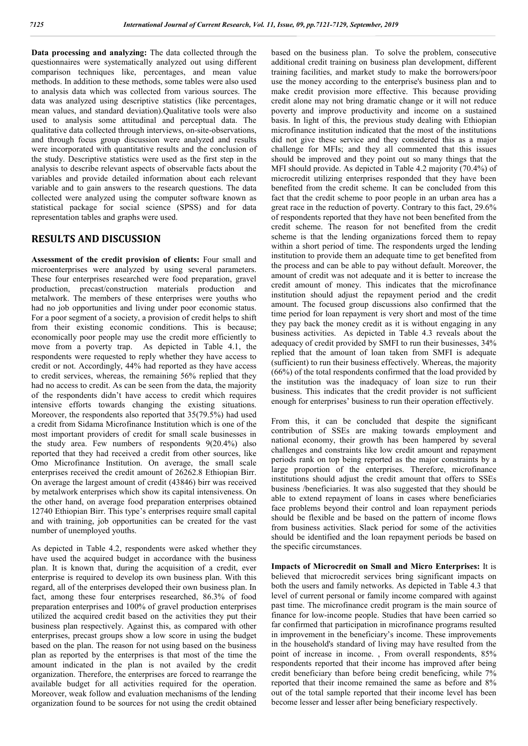**Data processing and analyzing:** The data collected through the questionnaires were systematically analyzed out using different comparison techniques like, percentages, and mean value methods. In addition to these methods, some tables were also used to analysis data which was collected from various sources. The data was analyzed using descriptive statistics (like percentages, mean values, and standard deviation).Qualitative tools were also used to analysis some attitudinal and perceptual data. The qualitative data collected through interviews, on-site-observations, and through focus group discussion were analyzed and results were incorporated with quantitative results and the conclusion of the study. Descriptive statistics were used as the first step in the analysis to describe relevant aspects of observable facts about the variables and provide detailed information about each relevant variable and to gain answers to the research questions. The data collected were analyzed using the computer software known as statistical package for social science (SPSS) and for data representation tables and graphs were used.

# **RESULTS AND DISCUSSION**

**Assessment of the credit provision of clients:** Four small and microenterprises were analyzed by using several parameters. These four enterprises researched were food preparation, gravel production, precast/construction materials production and metalwork. The members of these enterprises were youths who had no job opportunities and living under poor economic status. For a poor segment of a society, a provision of credit helps to shift from their existing economic conditions. This is because; economically poor people may use the credit more efficiently to move from a poverty trap. As depicted in Table 4.1, the respondents were requested to reply whether they have access to credit or not. Accordingly, 44% had reported as they have access to credit services, whereas, the remaining 56% replied that they had no access to credit. As can be seen from the data, the majority of the respondents didn't have access to credit which requires intensive efforts towards changing the existing situations. Moreover, the respondents also reported that 35(79.5%) had used a credit from Sidama Microfinance Institution which is one of the most important providers of credit for small scale businesses in the study area. Few numbers of respondents 9(20.4%) also reported that they had received a credit from other sources, like Omo Microfinance Institution. On average, the small scale enterprises received the credit amount of 26262.8 Ethiopian Birr. On average the largest amount of credit (43846) birr was received by metalwork enterprises which show its capital intensiveness. On the other hand, on average food preparation enterprises obtained 12740 Ethiopian Birr. This type's enterprises require small capital and with training, job opportunities can be created for the vast number of unemployed youths.

As depicted in Table 4.2, respondents were asked whether they have used the acquired budget in accordance with the business plan. It is known that, during the acquisition of a credit, ever enterprise is required to develop its own business plan. With this regard, all of the enterprises developed their own business plan. In fact, among these four enterprises researched, 86.3% of food preparation enterprises and 100% of gravel production enterprises utilized the acquired credit based on the activities they put their business plan respectively. Against this, as compared with other enterprises, precast groups show a low score in using the budget based on the plan. The reason for not using based on the business plan as reported by the enterprises is that most of the time the amount indicated in the plan is not availed by the credit organization. Therefore, the enterprises are forced to rearrange the available budget for all activities required for the operation. Moreover, weak follow and evaluation mechanisms of the lending organization found to be sources for not using the credit obtained

based on the business plan. To solve the problem, consecutive additional credit training on business plan development, different training facilities, and market study to make the borrowers/poor use the money according to the enterprise's business plan and to make credit provision more effective. This because providing credit alone may not bring dramatic change or it will not reduce poverty and improve productivity and income on a sustained basis. In light of this, the previous study dealing with Ethiopian microfinance institution indicated that the most of the institutions did not give these service and they considered this as a major challenge for MFIs; and they all commented that this issues should be improved and they point out so many things that the MFI should provide. As depicted in Table 4.2 majority (70.4%) of microcredit utilizing enterprises responded that they have been benefited from the credit scheme. It can be concluded from this fact that the credit scheme to poor people in an urban area has a great race in the reduction of poverty. Contrary to this fact, 29.6% of respondents reported that they have not been benefited from the credit scheme. The reason for not benefited from the credit scheme is that the lending organizations forced them to repay within a short period of time. The respondents urged the lending institution to provide them an adequate time to get benefited from the process and can be able to pay without default. Moreover, the amount of credit was not adequate and it is better to increase the credit amount of money. This indicates that the microfinance institution should adjust the repayment period and the credit amount. The focused group discussions also confirmed that the time period for loan repayment is very short and most of the time they pay back the money credit as it is without engaging in any business activities. As depicted in Table 4.3 reveals about the adequacy of credit provided by SMFI to run their businesses, 34% replied that the amount of loan taken from SMFI is adequate (sufficient) to run their business effectively. Whereas, the majority (66%) of the total respondents confirmed that the load provided by the institution was the inadequacy of loan size to run their business. This indicates that the credit provider is not sufficient enough for enterprises' business to run their operation effectively.

From this, it can be concluded that despite the significant contribution of SSEs are making towards employment and national economy, their growth has been hampered by several challenges and constraints like low credit amount and repayment periods rank on top being reported as the major constraints by a large proportion of the enterprises. Therefore, microfinance institutions should adjust the credit amount that offers to SSEs business /beneficiaries. It was also suggested that they should be able to extend repayment of loans in cases where beneficiaries face problems beyond their control and loan repayment periods should be flexible and be based on the pattern of income flows from business activities. Slack period for some of the activities should be identified and the loan repayment periods be based on the specific circumstances.

**Impacts of Microcredit on Small and Micro Enterprises:** It is believed that microcredit services bring significant impacts on both the users and family networks. As depicted in Table 4.3 that level of current personal or family income compared with against past time. The microfinance credit program is the main source of finance for low-income people. Studies that have been carried so far confirmed that participation in microfinance programs resulted in improvement in the beneficiary's income. These improvements in the household's standard of living may have resulted from the point of increase in income. , From overall respondents, 85% respondents reported that their income has improved after being credit beneficiary than before being credit beneficing, while 7% reported that their income remained the same as before and 8% out of the total sample reported that their income level has been become lesser and lesser after being beneficiary respectively.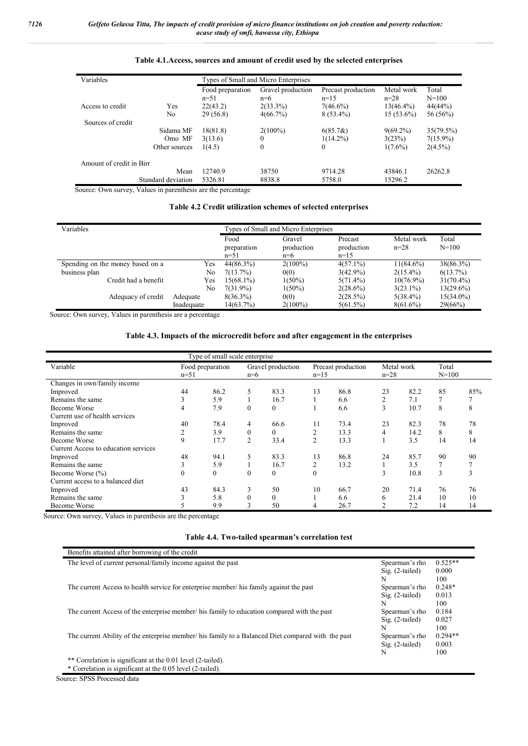| Variables                |                    | Types of Small and Micro Enterprises |                   |                    |              |             |  |  |
|--------------------------|--------------------|--------------------------------------|-------------------|--------------------|--------------|-------------|--|--|
|                          |                    | Food preparation                     | Gravel production | Precast production | Metal work   | Total       |  |  |
|                          |                    | $n=51$                               | $n=6$             | $n=1.5$            | $n = 28$     | $N = 100$   |  |  |
| Access to credit         | Yes                | 22(43.2)                             | $2(33.3\%)$       | $7(46.6\%)$        | $13(46.4\%)$ | 44(44%)     |  |  |
|                          | No                 | 29(56.8)                             | 4(66.7%)          | $8(53.4\%)$        | $15(53.6\%)$ | 56 (56%)    |  |  |
| Sources of credit        |                    |                                      |                   |                    |              |             |  |  |
|                          | Sidama MF          | 18(81.8)                             | $2(100\%)$        | $6(85.7\&)$        | $9(69.2\%)$  | 35(79.5%)   |  |  |
|                          | Omo MF             | 3(13.6)                              | $\theta$          | $1(14.2\%)$        | 3(23%)       | $7(15.9\%)$ |  |  |
|                          | Other sources      | 1(4.5)                               | $\theta$          | $\theta$           | $1(7.6\%)$   | $2(4.5\%)$  |  |  |
| Amount of credit in Birr |                    |                                      |                   |                    |              |             |  |  |
|                          | Mean               | 12740.9                              | 38750             | 9714.28            | 43846.1      | 26262.8     |  |  |
|                          | Standard deviation | 5326.81                              | 8838.8            | 5758.0             | 15296.2      |             |  |  |

# **Table 4.1.Access, sources and amount of credit used by the selected enterprises**

Source: Own survey, Values in parenthesis are the percentage

### **Table 4.2 Credit utilization schemes of selected enterprises**

| Variables                        |            |                               | Types of Small and Micro Enterprises |                                 |                        |                    |
|----------------------------------|------------|-------------------------------|--------------------------------------|---------------------------------|------------------------|--------------------|
|                                  |            | Food<br>preparation<br>$n=51$ | Gravel<br>production<br>n=6          | Precast<br>production<br>$n=15$ | Metal work<br>$n = 28$ | Total<br>$N = 100$ |
| Spending on the money based on a | Yes        | 44(86.3%)                     | $2(100\%)$                           | $4(57.1\%)$                     | $11(84.6\%)$           | $38(86.3\%)$       |
| business plan                    | No         | 7(13.7%)                      | 0(0)                                 | $3(42.9\%)$                     | $2(15.4\%)$            | $6(13.7\%)$        |
| Credit had a benefit             | Yes        | 15(68.1%)                     | $1(50\%)$                            | $5(71.4\%)$                     | $10(76.9\%)$           | $31(70.4\%)$       |
|                                  | No         | 7(31.9%)                      | $1(50\%)$                            | $2(28.6\%)$                     | $3(23.1\%)$            | $13(29.6\%)$       |
| Adequacy of credit               | Adequate   | $8(36.3\%)$                   | 0(0)                                 | $2(28.5\%)$                     | $5(38.4\%)$            | $15(34.0\%)$       |
|                                  | Inadequate | 14(63.7%)                     | $2(100\%)$                           | $5(61.5\%)$                     | $8(61.6\%)$            | 29(66%)            |

Source: Own survey, Values in parenthesis are a percentage

### **Table 4.3. Impacts of the microcredit before and after engagement in the enterprises**

|                                      |          | Type of small scale enterprise |                  |                   |                |                    |                        |      |                    |                     |
|--------------------------------------|----------|--------------------------------|------------------|-------------------|----------------|--------------------|------------------------|------|--------------------|---------------------|
| Variable                             | $n=51$   | Food preparation               | $n=6$            | Gravel production | $n=15$         | Precast production | Metal work<br>$n = 28$ |      | Total<br>$N = 100$ |                     |
| Changes in own/family income         |          |                                |                  |                   |                |                    |                        |      |                    |                     |
| Improved                             | 44       | 86.2                           | 5                | 83.3              | 13             | 86.8               | 23                     | 82.2 | 85                 | 85%                 |
| Remains the same                     | 3        | 5.9                            |                  | 16.7              |                | 6.6                | $\overline{2}$         | 7.1  | 7                  |                     |
| <b>Become Worse</b>                  | 4        | 7.9                            | 0                | $\mathbf{0}$      |                | 6.6                | 3                      | 10.7 | 8                  | 8                   |
| Current use of health services       |          |                                |                  |                   |                |                    |                        |      |                    |                     |
| Improved                             | 40       | 78.4                           | 4                | 66.6              | 11             | 73.4               | 23                     | 82.3 | 78                 | 78                  |
| Remains the same                     | C.       | 3.9                            | $\theta$         | $\theta$          | 2              | 13.3               | 4                      | 14.2 | 8                  | 8                   |
| Become Worse                         | 9        | 17.7                           | 2                | 33.4              | $\overline{2}$ | 13.3               |                        | 3.5  | 14                 | 14                  |
| Current Access to education services |          |                                |                  |                   |                |                    |                        |      |                    |                     |
| Improved                             | 48       | 94.1                           | 5                | 83.3              | 13             | 86.8               | 24                     | 85.7 | 90                 | 90                  |
| Remains the same                     | 3        | 5.9                            |                  | 16.7              | 2              | 13.2               |                        | 3.5  | 7                  |                     |
| Become Worse (%)                     | $\theta$ | $\mathbf{0}$                   | $\boldsymbol{0}$ | $\mathbf{0}$      | $\theta$       |                    | 3                      | 10.8 | 3                  | $\rightarrow$<br>J. |
| Current access to a balanced diet    |          |                                |                  |                   |                |                    |                        |      |                    |                     |
| Improved                             | 43       | 84.3                           | 3                | 50                | 10             | 66.7               | 20                     | 71.4 | 76                 | 76                  |
| Remains the same                     | 3        | 5.8                            | $\theta$         | $\theta$          |                | 6.6                | 6                      | 21.4 | 10                 | 10                  |
| <b>Become Worse</b>                  |          | 9.9                            | 3                | 50                | 4              | 26.7               |                        | 7.2  | 14                 | 14                  |

Source: Own survey, Values in parenthesis are the percentage

| The level of current personal/family income against the past                                      | Spearman's rho    | $0.525**$ |
|---------------------------------------------------------------------------------------------------|-------------------|-----------|
|                                                                                                   | $Sig. (2-tailed)$ | 0.000     |
|                                                                                                   | N                 | 100       |
| The current Access to health service for enterprise member/ his family against the past           | Spearman's rho    | $0.248*$  |
|                                                                                                   | $Sig. (2-tailed)$ | 0.013     |
|                                                                                                   | N                 | 100       |
| The current Access of the enterprise member/ his family to education compared with the past       | Spearman's rho    | 0.184     |
|                                                                                                   | $Sig. (2-tailed)$ | 0.027     |
|                                                                                                   | N                 | 100       |
| The current Ability of the enterprise member/his family to a Balanced Diet compared with the past | Spearman's rho    | $0.294**$ |
|                                                                                                   | $Sig. (2-tailed)$ | 0.003     |
|                                                                                                   | N                 | 100       |
| ** Correlation is significant at the 0.01 level (2-tailed).                                       |                   |           |
| * Correlation is significant at the 0.05 level (2-tailed).                                        |                   |           |

Source: SPSS Processed data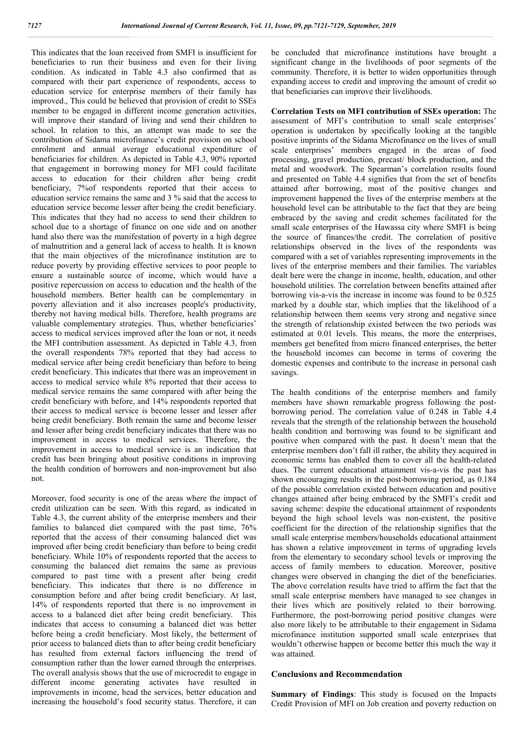This indicates that the loan received from SMFI is insufficient for beneficiaries to run their business and even for their living condition. As indicated in Table 4.3 also confirmed that as compared with their part experience of respondents, access to education service for enterprise members of their family has improved., This could be believed that provision of credit to SSEs member to be engaged in different income generation activities, will improve their standard of living and send their children to school. In relation to this, an attempt was made to see the contribution of Sidama microfinance's credit provision on school enrolment and annual average educational expenditure of beneficiaries for children. As depicted in Table 4.3, 90% reported that engagement in borrowing money for MFI could facilitate access to education for their children after being credit beneficiary, 7%of respondents reported that their access to education service remains the same and 3 % said that the access to education service become lesser after being the credit beneficiary. This indicates that they had no access to send their children to school due to a shortage of finance on one side and on another hand also there was the manifestation of poverty in a high degree of malnutrition and a general lack of access to health. It is known that the main objectives of the microfinance institution are to reduce poverty by providing effective services to poor people to ensure a sustainable source of income, which would have a positive repercussion on access to education and the health of the household members. Better health can be complementary in poverty alleviation and it also increases people's productivity, thereby not having medical bills. Therefore, health programs are valuable complementary strategies. Thus, whether beneficiaries' access to medical services improved after the loan or not, it needs the MFI contribution assessment. As depicted in Table 4.3, from the overall respondents 78% reported that they had access to medical service after being credit beneficiary than before to being credit beneficiary. This indicates that there was an improvement in access to medical service while 8% reported that their access to medical service remains the same compared with after being the credit beneficiary with before, and 14% respondents reported that their access to medical service is become lesser and lesser after being credit beneficiary. Both remain the same and become lesser and lesser after being credit beneficiary indicates that there was no improvement in access to medical services. Therefore, the improvement in access to medical service is an indication that credit has been bringing about positive conditions in improving the health condition of borrowers and non-improvement but also not.

Moreover, food security is one of the areas where the impact of credit utilization can be seen. With this regard, as indicated in Table 4.3, the current ability of the enterprise members and their families to balanced diet compared with the past time, 76% reported that the access of their consuming balanced diet was improved after being credit beneficiary than before to being credit beneficiary. While 10% of respondents reported that the access to consuming the balanced diet remains the same as previous compared to past time with a present after being credit beneficiary. This indicates that there is no difference in consumption before and after being credit beneficiary. At last, 14% of respondents reported that there is no improvement in access to a balanced diet after being credit beneficiary. This indicates that access to consuming a balanced diet was better before being a credit beneficiary. Most likely, the betterment of prior access to balanced diets than to after being credit beneficiary has resulted from external factors influencing the trend of consumption rather than the lower earned through the enterprises. The overall analysis shows that the use of microcredit to engage in different income generating activates have resulted in improvements in income, head the services, better education and increasing the household's food security status. Therefore, it can be concluded that microfinance institutions have brought a significant change in the livelihoods of poor segments of the community. Therefore, it is better to widen opportunities through expanding access to credit and improving the amount of credit so that beneficiaries can improve their livelihoods.

**Correlation Tests on MFI contribution of SSEs operation:** The assessment of MFI's contribution to small scale enterprises' operation is undertaken by specifically looking at the tangible positive imprints of the Sidama Microfinance on the lives of small scale enterprises' members engaged in the areas of food processing, gravel production, precast/ block production, and the metal and woodwork. The Spearman's correlation results found and presented on Table 4.4 signifies that from the set of benefits attained after borrowing, most of the positive changes and improvement happened the lives of the enterprise members at the household level can be attributable to the fact that they are being embraced by the saving and credit schemes facilitated for the small scale enterprises of the Hawassa city where SMFI is being the source of finances/the credit. The correlation of positive relationships observed in the lives of the respondents was compared with a set of variables representing improvements in the lives of the enterprise members and their families. The variables dealt here were the change in income, health, education, and other household utilities. The correlation between benefits attained after borrowing vis-a-vis the increase in income was found to be 0.525 marked by a double star, which implies that the likelihood of a relationship between them seems very strong and negative since the strength of relationship existed between the two periods was estimated at 0.01 levels. This means, the more the enterprises, members get benefited from micro financed enterprises, the better the household incomes can become in terms of covering the domestic expenses and contribute to the increase in personal cash savings.

The health conditions of the enterprise members and family members have shown remarkable progress following the postborrowing period. The correlation value of 0.248 in Table 4.4 reveals that the strength of the relationship between the household health condition and borrowing was found to be significant and positive when compared with the past. It doesn't mean that the enterprise members don't fall ill rather, the ability they acquired in economic terms has enabled them to cover all the health-related dues. The current educational attainment vis-a-vis the past has shown encouraging results in the post-borrowing period, as 0.184 of the possible correlation existed between education and positive changes attained after being embraced by the SMFI's credit and saving scheme: despite the educational attainment of respondents beyond the high school levels was non-existent, the positive coefficient for the direction of the relationship signifies that the small scale enterprise members/households educational attainment has shown a relative improvement in terms of upgrading levels from the elementary to secondary school levels or improving the access of family members to education. Moreover, positive changes were observed in changing the diet of the beneficiaries. The above correlation results have tried to affirm the fact that the small scale enterprise members have managed to see changes in their lives which are positively related to their borrowing. Furthermore, the post-borrowing period positive changes were also more likely to be attributable to their engagement in Sidama microfinance institution supported small scale enterprises that wouldn't otherwise happen or become better this much the way it was attained.

### **Conclusions and Recommendation**

**Summary of Findings**: This study is focused on the Impacts Credit Provision of MFI on Job creation and poverty reduction on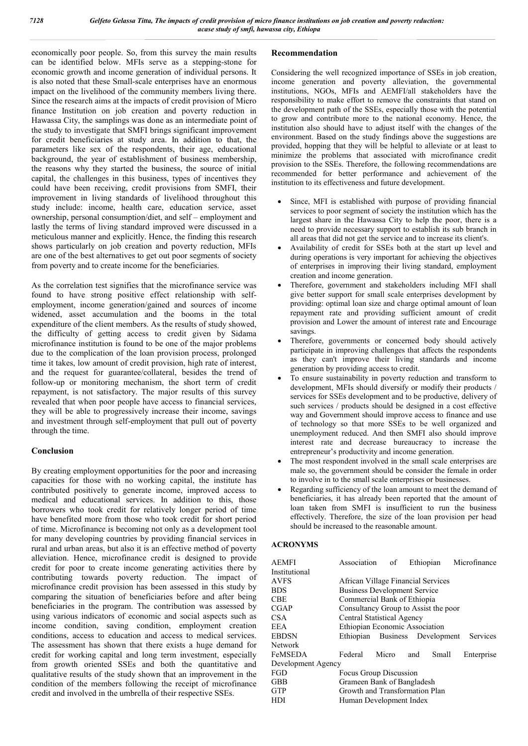economically poor people. So, from this survey the main results can be identified below. MFIs serve as a stepping-stone for economic growth and income generation of individual persons. It is also noted that these Small-scale enterprises have an enormous impact on the livelihood of the community members living there. Since the research aims at the impacts of credit provision of Micro finance Institution on job creation and poverty reduction in Hawassa City, the samplings was done as an intermediate point of the study to investigate that SMFI brings significant improvement for credit beneficiaries at study area. In addition to that, the parameters like sex of the respondents, their age, educational background, the year of establishment of business membership, the reasons why they started the business, the source of initial capital, the challenges in this business, types of incentives they could have been receiving, credit provisions from SMFI, their improvement in living standards of livelihood throughout this study include: income, health care, education service, asset ownership, personal consumption/diet, and self – employment and lastly the terms of living standard improved were discussed in a meticulous manner and explicitly. Hence, the finding this research shows particularly on job creation and poverty reduction, MFIs are one of the best alternatives to get out poor segments of society from poverty and to create income for the beneficiaries.

As the correlation test signifies that the microfinance service was found to have strong positive effect relationship with selfemployment, income generation/gained and sources of income widened, asset accumulation and the booms in the total expenditure of the client members. As the results of study showed, the difficulty of getting access to credit given by Sidama microfinance institution is found to be one of the major problems due to the complication of the loan provision process, prolonged time it takes, low amount of credit provision, high rate of interest, and the request for guarantee/collateral, besides the trend of follow-up or monitoring mechanism, the short term of credit repayment, is not satisfactory. The major results of this survey revealed that when poor people have access to financial services, they will be able to progressively increase their income, savings and investment through self-employment that pull out of poverty through the time.

### **Conclusion**

By creating employment opportunities for the poor and increasing capacities for those with no working capital, the institute has contributed positively to generate income, improved access to medical and educational services. In addition to this, those borrowers who took credit for relatively longer period of time have benefited more from those who took credit for short period of time. Microfinance is becoming not only as a development tool for many developing countries by providing financial services in rural and urban areas, but also it is an effective method of poverty alleviation. Hence, microfinance credit is designed to provide credit for poor to create income generating activities there by contributing towards poverty reduction. The impact of microfinance credit provision has been assessed in this study by comparing the situation of beneficiaries before and after being beneficiaries in the program. The contribution was assessed by using various indicators of economic and social aspects such as income condition, saving condition, employment creation conditions, access to education and access to medical services. The assessment has shown that there exists a huge demand for credit for working capital and long term investment, especially from growth oriented SSEs and both the quantitative and qualitative results of the study shown that an improvement in the condition of the members following the receipt of microfinance credit and involved in the umbrella of their respective SSEs.

# **Recommendation**

Considering the well recognized importance of SSEs in job creation, income generation and poverty alleviation, the governmental institutions, NGOs, MFIs and AEMFI/all stakeholders have the responsibility to make effort to remove the constraints that stand on the development path of the SSEs, especially those with the potential to grow and contribute more to the national economy. Hence, the institution also should have to adjust itself with the changes of the environment. Based on the study findings above the suggestions are provided, hopping that they will be helpful to alleviate or at least to minimize the problems that associated with microfinance credit provision to the SSEs. Therefore, the following recommendations are recommended for better performance and achievement of the institution to its effectiveness and future development.

- Since, MFI is established with purpose of providing financial services to poor segment of society the institution which has the largest share in the Hawassa City to help the poor, there is a need to provide necessary support to establish its sub branch in all areas that did not get the service and to increase its client's.
- Availability of credit for SSEs both at the start up level and during operations is very important for achieving the objectives of enterprises in improving their living standard, employment creation and income generation.
- Therefore, government and stakeholders including MFI shall give better support for small scale enterprises development by providing: optimal loan size and charge optimal amount of loan repayment rate and providing sufficient amount of credit provision and Lower the amount of interest rate and Encourage savings.
- Therefore, governments or concerned body should actively participate in improving challenges that affects the respondents as they can't improve their living standards and income generation by providing access to credit.
- To ensure sustainability in poverty reduction and transform to development, MFIs should diversify or modify their products / services for SSEs development and to be productive, delivery of such services / products should be designed in a cost effective way and Government should improve access to finance and use of technology so that more SSEs to be well organized and unemployment reduced. And then SMFI also should improve interest rate and decrease bureaucracy to increase the entrepreneur's productivity and income generation.
- The most respondent involved in the small scale enterprises are male so, the government should be consider the female in order to involve in to the small scale enterprises or businesses.
- Regarding sufficiency of the loan amount to meet the demand of beneficiaries, it has already been reported that the amount of loan taken from SMFI is insufficient to run the business effectively. Therefore, the size of the loan provision per head should be increased to the reasonable amount.

### **ACRONYMS**

| <b>AEMFI</b>       | Association of                      |       |                                      | Ethiopian Microfinance                  |
|--------------------|-------------------------------------|-------|--------------------------------------|-----------------------------------------|
| Institutional      |                                     |       |                                      |                                         |
| <b>AVFS</b>        |                                     |       | African Village Financial Services   |                                         |
| <b>BDS</b>         | <b>Business Development Service</b> |       |                                      |                                         |
| <b>CBE</b>         | Commercial Bank of Ethiopia         |       |                                      |                                         |
| <b>CGAP</b>        |                                     |       | Consultancy Group to Assist the poor |                                         |
| CSA                | Central Statistical Agency          |       |                                      |                                         |
| EEA                |                                     |       | Ethiopian Economic Association       |                                         |
| <b>EBDSN</b>       |                                     |       |                                      | Ethiopian Business Development Services |
| <b>Network</b>     |                                     |       |                                      |                                         |
| FeMSEDA            | Federal                             | Micro | Small<br>and                         | Enterprise                              |
| Development Agency |                                     |       |                                      |                                         |
| <b>FGD</b>         | Focus Group Discussion              |       |                                      |                                         |
| GBB                | Grameen Bank of Bangladesh          |       |                                      |                                         |
| <b>GTP</b>         |                                     |       | Growth and Transformation Plan       |                                         |
| HDI                | Human Development Index             |       |                                      |                                         |